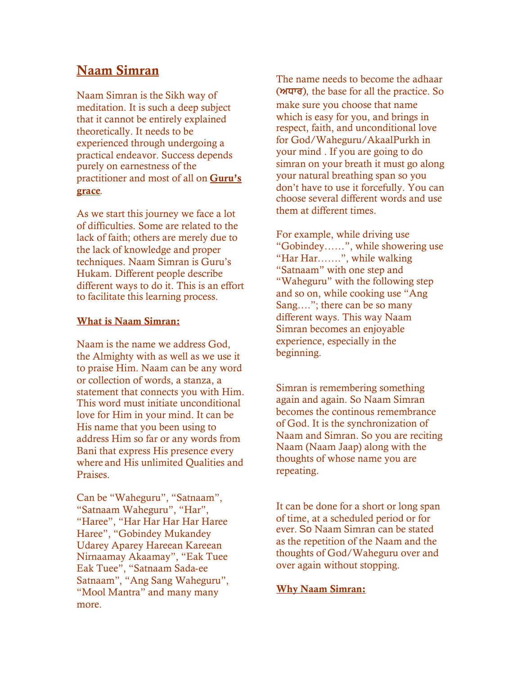# **Naam Simran**

Naam Simran is the [Sikh](http://www.sikhism.us/) way of meditation. It is such a deep subject that it cannot be entirely explained theoretically. It needs to be experienced through undergoing a practical endeavor. Success depends purely on earnestness of the practitioner and most of all on **Guru's grace**.

As we start this journey we face a lot of difficulties. Some are related to the lack of faith; others are merely due to the lack of knowledge and proper techniques. Naam Simran is Guru's Hukam. Different people describe different ways to do it. This is an effort to facilitate this learning process.

#### **What is Naam Simran:**

Naam is the name we address God, the Almighty with as well as we use it to praise Him. Naam can be any word or collection of words, a stanza, a statement that connects you with Him. This word must initiate unconditional love for Him in your mind. It can be His name that you been using to address Him so far or any words from Bani that express His presence every where and His unlimited Qualities and Praises.

Can be "Waheguru", "Satnaam", "Satnaam Waheguru", "Har", "Haree", "Har Har Har Har Haree Haree", "Gobindey Mukandey Udarey Aparey Hareean Kareean Nirnaamay Akaamay", "Eak Tuee Eak Tuee", "Satnaam Sada-ee Satnaam", "Ang Sang Waheguru", "Mool Mantra" and many many more.

The name needs to become the adhaar  $(M<sup>T</sup>)$ , the base for all the practice. So make sure you choose that name which is easy for you, and brings in respect, faith, and unconditional love for God/Waheguru/AkaalPurkh in your mind . If you are going to do simran on your breath it must go along your natural breathing span so you don't have to use it forcefully. You can choose several different words and use them at different times.

For example, while driving use "Gobindey……", while showering use "Har Har…….", while walking "Satnaam" with one step and "Waheguru" with the following step and so on, while cooking use "Ang Sang…."; there can be so many different ways. This way Naam Simran becomes an enjoyable experience, especially in the beginning.

Simran is remembering something again and again. So Naam Simran becomes the continous remembrance of God. It is the synchronization of Naam and Simran. So you are reciting Naam (Naam Jaap) along with the thoughts of whose name you are repeating.

It can be done for a short or long span of time, at a scheduled period or for ever. So Naam Simran can be stated as the repetition of the Naam and the thoughts of God/Waheguru over and over again without stopping.

## **Why Naam Simran:**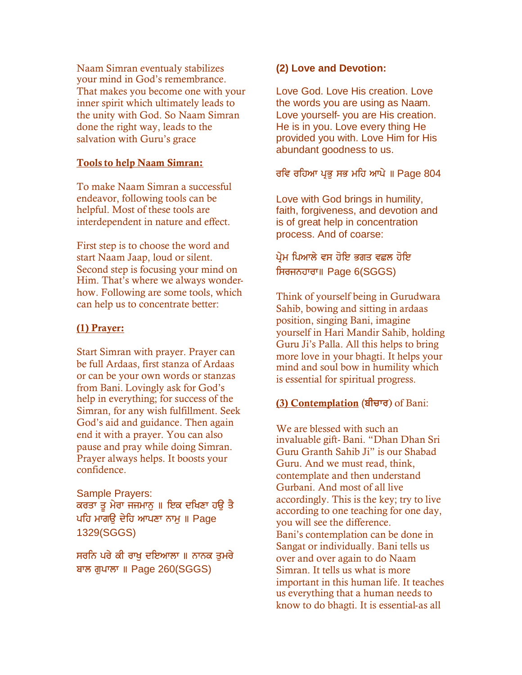Naam Simran eventualy stabilizes your mind in God's remembrance. That makes you become one with your inner spirit which ultimately leads to the unity with God. So Naam Simran done the right way, leads to the salvation with Guru's grace

## **Tools to help Naam Simran:**

To make Naam Simran a successful endeavor, following tools can be helpful. Most of these tools are interdependent in nature and effect.

First step is to choose the word and start Naam Jaap, loud or silent. Second step is focusing your mind on Him. That's where we always wonderhow. Following are some tools, which can help us to concentrate better:

### **(1) Prayer:**

Start Simran with prayer. Prayer can be full Ardaas, first stanza of Ardaas or can be your own words or stanzas from Bani. Lovingly ask for God's help in everything; for success of the Simran, for any wish fulfillment. Seek God's aid and guidance. Then again end it with a prayer. You can also pause and pray while doing Simran. Prayer always helps. It boosts your confidence.

Sample Prayers: ਕਰਤਾ ਤੂ ਮੇਰਾ ਜਜਮਾਨੂ ॥ ਇਕ ਦਖਿਣਾ ਹਉ ਤੈ ਪਹਿ ਮਾਗੳ ਦੇਹਿ ਆਪਣਾ ਨਾਮ ॥ Page 1329(SGGS)

ਸਰਨਿ ਪਰੇ ਕੀ ਰਾਖੂ ਦਇਆਲਾ ॥ ਨਾਨਕ ਤੁਮਰੇ ਬਾਲ ਗਪਾਲਾ ॥ Page 260(SGGS)

## **(2) Love and Devotion:**

Love God. Love His creation. Love the words you are using as Naam. Love yourself- you are His creation. He is in you. Love every thing He provided you with. Love Him for His abundant goodness to us.

## ਰਵਿ ਰਹਿਆ ਪਭ ਸਭ ਮਹਿ ਆਪੇ ॥ Page 804

Love with God brings in humility, faith, forgiveness, and devotion and is of great help in concentration process. And of coarse:

## ਪ੍ਰੇਮ ਪਿਆਲੇ ਵਸ ਹੋਇ ਭਗਤ ਵਛਲ ਹੋਇ ਸਿਰਜਨਹਾਰਾ॥ Page 6(SGGS)

Think of yourself being in Gurudwara Sahib, bowing and sitting in ardaas position, singing Bani, imagine yourself in Hari Mandir Sahib, holding Guru Ji's Palla. All this helps to bring more love in your bhagti. It helps your mind and soul bow in humility which is essential for spiritual progress.

## **(3) Contemplation** (ਬੀਚਾਰ) of Bani:

We are blessed with such an invaluable gift- Bani. "Dhan Dhan Sri Guru Granth Sahib Ji" is our Shabad Guru. And we must read, think, contemplate and then understand Gurbani. And most of all live accordingly. This is the key; try to live according to one teaching for one day, you will see the difference. Bani's contemplation can be done in Sangat or individually. Bani tells us over and over again to do Naam Simran. It tells us what is more important in this human life. It teaches us everything that a human needs to know to do bhagti. It is essential-as all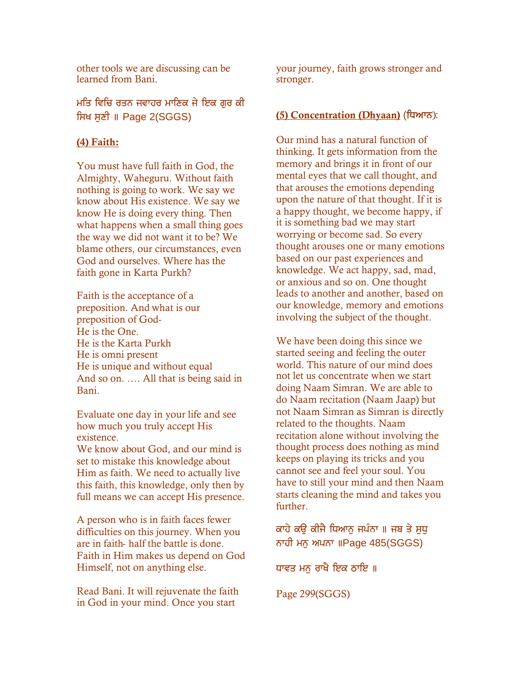other tools we are discussing can be learned from Bani.

ਮਤਿ ਵਿਚਿ ਰਤਨ ਜਵਾਹਰ ਮਾਣਿਕ ਜੇ ਇਕ ਗੁਰ ਕੀ ਸਿਖ ਸੁਣੀ ॥ Page 2(SGGS)

#### **(4) Faith:**

You must have full faith in God, the Almighty, Waheguru. Without faith nothing is going to work. We say we know about His existence. We say we know He is doing every thing. Then what happens when a small thing goes the way we did not want it to be? We blame others, our circumstances, even God and ourselves. Where has the faith gone in Karta Purkh?

Faith is the acceptance of a preposition. And what is our preposition of God-He is the One. He is the Karta Purkh He is omni present He is unique and without equal And so on. …. All that is being said in Bani.

Evaluate one day in your life and see how much you truly accept His existence.

We know about God, and our mind is set to mistake this knowledge about Him as faith. We need to actually live this faith, this knowledge, only then by full means we can accept His presence.

A person who is in faith faces fewer difficulties on this journey. When you are in faith- half the battle is done. Faith in Him makes us depend on God Himself, not on anything else.

Read Bani. It will rejuvenate the faith in God in your mind. Once you start

your journey, faith grows stronger and stronger.

#### **(5) Concentration (Dhyaan) (ਧਿਆਨ):**

Our mind has a natural function of thinking. It gets information from the memory and brings it in front of our mental eyes that we call thought, and that arouses the emotions depending upon the nature of that thought. If it is a happy thought, we become happy, if it is something bad we may start worrying or become sad. So every thought arouses one or many emotions based on our past experiences and knowledge. We act happy, sad, mad, or anxious and so on. One thought leads to another and another, based on our knowledge, memory and emotions involving the subject of the thought.

We have been doing this since we started seeing and feeling the outer world. This nature of our mind does not let us concentrate when we start doing Naam Simran. We are able to do Naam recitation (Naam Jaap) but not Naam Simran as Simran is directly related to the thoughts. Naam recitation alone without involving the thought process does nothing as mind keeps on playing its tricks and you cannot see and feel your soul. You have to still your mind and then Naam starts cleaning the mind and takes you further.

ਕਾਹੇ ਕੳ ਕੀਜੈ ਧਿਆਨ ਜਪੰਨਾ ॥ ਜਬ ਤੇ ਸੁਧੁ ਨਾਹੀ ਮਨੁ ਅਪਨਾ ॥Page 485(SGGS)

ਧਾਵਤ ਮਨੁ ਰਾਖੈ ਇਕ ਠਾਇ ॥

Page 299(SGGS)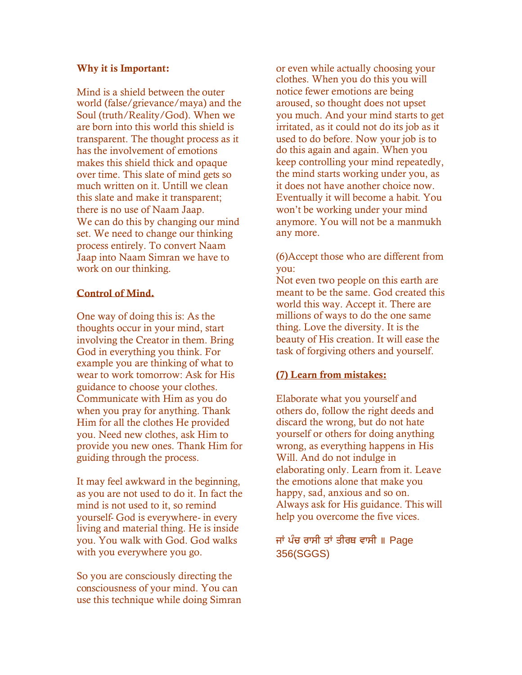#### **Why it is Important:**

Mind is a shield between the outer world (false/grievance/maya) and the Soul (truth/Reality/God). When we are born into this world this shield is transparent. The thought process as it has the involvement of emotions makes this shield thick and opaque over time. This slate of mind gets so much written on it. Untill we clean this slate and make it transparent; there is no use of Naam Jaap. We can do this by changing our mind set. We need to change our thinking process entirely. To convert Naam Jaap into Naam Simran we have to work on our thinking.

### **Control of Mind.**

One way of doing this is: As the thoughts occur in your mind, start involving the Creator in them. Bring God in everything you think. For example you are thinking of what to wear to work tomorrow: Ask for His guidance to choose your clothes. Communicate with Him as you do when you pray for anything. Thank Him for all the clothes He provided you. Need new clothes, ask Him to provide you new ones. Thank Him for guiding through the process.

It may feel awkward in the beginning, as you are not used to do it. In fact the mind is not used to it, so remind yourself- God is everywhere- in every living and material thing. He is inside you. You walk with God. God walks with you everywhere you go.

So you are consciously directing the consciousness of your mind. You can use this technique while doing Simran or even while actually choosing your clothes. When you do this you will notice fewer emotions are being aroused, so thought does not upset you much. And your mind starts to get irritated, as it could not do its job as it used to do before. Now your job is to do this again and again. When you keep controlling your mind repeatedly, the mind starts working under you, as it does not have another choice now. Eventually it will become a habit. You won't be working under your mind anymore. You will not be a manmukh any more.

(6)Accept those who are different from you:

Not even two people on this earth are meant to be the same. God created this world this way. Accept it. There are millions of ways to do the one same thing. Love the diversity. It is the beauty of His creation. It will ease the task of forgiving others and yourself.

## **(7) Learn from mistakes:**

Elaborate what you yourself and others do, follow the right deeds and discard the wrong, but do not hate yourself or others for doing anything wrong, as everything happens in His Will. And do not indulge in elaborating only. Learn from it. Leave the emotions alone that make you happy, sad, anxious and so on. Always ask for His guidance. This will help you overcome the five vices.

## ਜਾਂ ਪੰਚ ਰਾਸੀ ਤਾਂ ਤੀਰਥ ਵਾਸੀ ॥ Page 356(SGGS)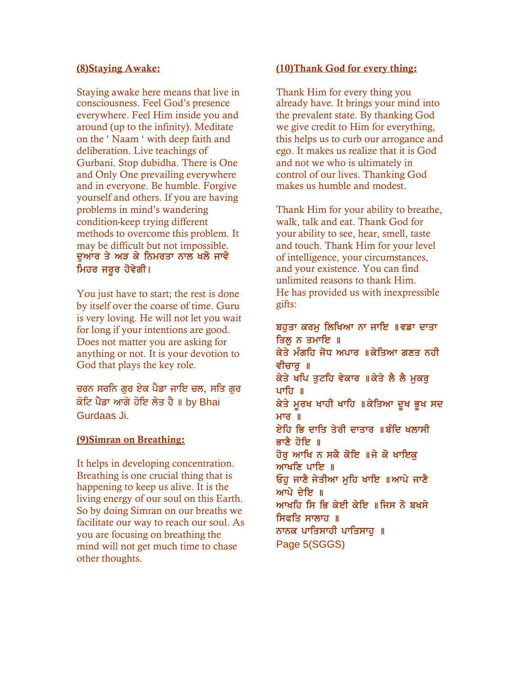#### **(8)Staying Awake:**

Staying awake here means that live in consciousness. Feel God's presence everywhere. Feel Him inside you and around (up to the infinity). Meditate on the ' Naam ' with deep faith and deliberation. Live teachings of Gurbani. Stop dubidha. There is One and Only One prevailing everywhere and in everyone. Be humble. Forgive yourself and others. If you are having problems in mind's wandering condition-keep trying different methods to overcome this problem. It may be difficult but not impossible. ਦੁਆਰ ਤੇ ਅੜ ਕੇ ਨਿਮਰਤਾ ਨਾਲ ਖਲੋ ਜਾਵੋ ਮਿਹਰ ਜਰੂਰ ਹੋਵੇਗੀ।

You just have to start; the rest is done by itself over the coarse of time. Guru is very loving. He will not let you wait for long if your intentions are good. Does not matter you are asking for anything or not. It is your devotion to God that plays the key role.

ਚਰਨ ਸਰਨਿ ਗਰ ਏਕ ਪੈਡਾ ਜਾਇ ਚਲ, ਸਤਿ ਗਰ ਕੋਟਿ ਪੈਡਾ ਆਗੇ ਹੋਇ ਲੇਤ ਹੈ ॥ by Bhai Gurdaas Ji.

#### **(9)Simran on Breathing:**

It helps in developing concentration. Breathing is one crucial thing that is happening to keep us alive. It is the living energy of our soul on this Earth. So by doing Simran on our breaths we facilitate our way to reach our soul. As you are focusing on breathing the mind will not get much time to chase other thoughts.

#### **(10)Thank God for every thing:**

Thank Him for every thing you already have. It brings your mind into the prevalent state. By thanking God we give credit to Him for everything, this helps us to curb our arrogance and ego. It makes us realize that it is God and not we who is ultimately in control of our lives. Thanking God makes us humble and modest.

Thank Him for your ability to breathe, walk, talk and eat. Thank God for your ability to see, hear, smell, taste and touch. Thank Him for your level of intelligence, your circumstances, and your existence. You can find unlimited reasons to thank Him. He has provided us with inexpressible gifts:

## ਬਹੁਤਾ ਕਰਮੂ ਲਿਖਿਆ ਨਾ ਜਾਇ ॥ਵਡਾ ਦਾਤਾ ਤਿਲ ਨ ਤਮਾਇ ॥

ਕੇਤੇ ਮੰਗਹਿ ਜੋਧ ਅਪਾਰ ॥ਕੇਤਿਆ ਗਣਤ ਨਹੀ ਵੀਚਾਰ ॥ ਕੇਤੇ ਖਪਿ ਤੁਟਹਿ ਵੇਕਾਰ ॥ਕੇਤੇ ਲੈ ਲੈ ਮੁਕਰੁ ਪਾਹਿ ॥ ਕੇਤੇ ਮੂਰਖ ਖਾਹੀ ਖਾਹਿ ॥ਕੇਤਿਆ ਦੁਖ ਭੁਖ ਸਦ ਮਾਰ ॥ ਏਹਿ ਭਿ ਦਾਤਿ ਤੇਰੀ ਦਾਤਾਰ ॥ਬੰਦਿ ਖੁਲਾਸੀ ਭਾਣੈ ਹੋਇ ॥ ਹੋਰ ਆਖਿ ਨ ਸਕੈ ਕੋਇ ॥ਜੇ ਕੋ ਖਾਇਕੁ ਆਖਣਿ ਪਾਇ ॥ ਓਹ ਜਾਣੈ ਜੇਤੀਆ ਮਹਿ ਖਾਇ ॥ਆਪੇ ਜਾਣੈ ਆਪੇ ਦੇਇ ॥ ਆਖਹਿ ਸਿ ਭਿ ਕੇਈ ਕੇਇ ॥ਜਿਸ ਨੋ ਬਖਸੇ ਸਿਫਤਿ ਸਾਲਾਹ ॥ ਨਾਨਕ ਪਾਤਿਸਾਹੀ ਪਾਤਿਸਾਹ ॥ Page 5(SGGS)